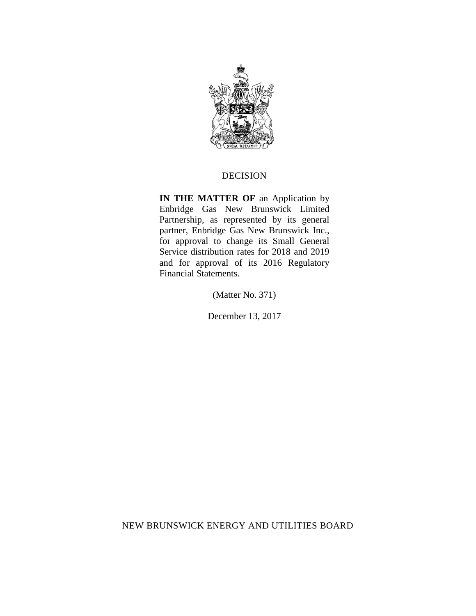

## DECISION

**IN THE MATTER OF** an Application by Enbridge Gas New Brunswick Limited Partnership, as represented by its general partner, Enbridge Gas New Brunswick Inc., for approval to change its Small General Service distribution rates for 2018 and 2019 and for approval of its 2016 Regulatory Financial Statements.

(Matter No. 371)

December 13, 2017

NEW BRUNSWICK ENERGY AND UTILITIES BOARD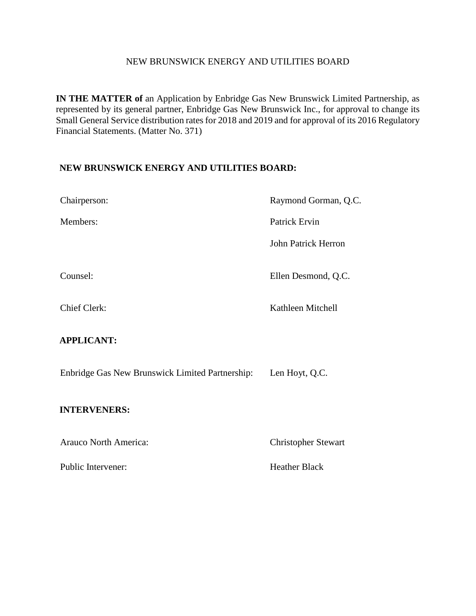## NEW BRUNSWICK ENERGY AND UTILITIES BOARD

**IN THE MATTER of** an Application by Enbridge Gas New Brunswick Limited Partnership, as represented by its general partner, Enbridge Gas New Brunswick Inc., for approval to change its Small General Service distribution rates for 2018 and 2019 and for approval of its 2016 Regulatory Financial Statements. (Matter No. 371)

## **NEW BRUNSWICK ENERGY AND UTILITIES BOARD:**

| Chairperson:                                    | Raymond Gorman, Q.C.       |
|-------------------------------------------------|----------------------------|
| Members:                                        | Patrick Ervin              |
|                                                 | <b>John Patrick Herron</b> |
| Counsel:                                        | Ellen Desmond, Q.C.        |
| <b>Chief Clerk:</b>                             | Kathleen Mitchell          |
| <b>APPLICANT:</b>                               |                            |
| Enbridge Gas New Brunswick Limited Partnership: | Len Hoyt, Q.C.             |
| <b>INTERVENERS:</b>                             |                            |
| Arauco North America:                           | <b>Christopher Stewart</b> |

Public Intervener: Figure 1.1 and The Heather Black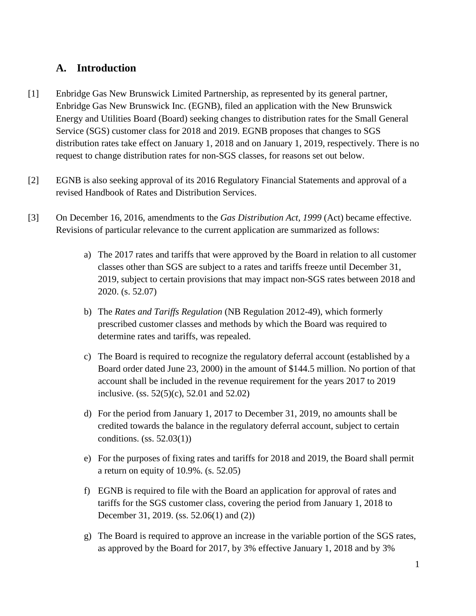# **A. Introduction**

- [1] Enbridge Gas New Brunswick Limited Partnership, as represented by its general partner, Enbridge Gas New Brunswick Inc. (EGNB), filed an application with the New Brunswick Energy and Utilities Board (Board) seeking changes to distribution rates for the Small General Service (SGS) customer class for 2018 and 2019. EGNB proposes that changes to SGS distribution rates take effect on January 1, 2018 and on January 1, 2019, respectively. There is no request to change distribution rates for non-SGS classes, for reasons set out below.
- [2] EGNB is also seeking approval of its 2016 Regulatory Financial Statements and approval of a revised Handbook of Rates and Distribution Services.
- [3] On December 16, 2016, amendments to the *Gas Distribution Act, 1999* (Act) became effective. Revisions of particular relevance to the current application are summarized as follows:
	- a) The 2017 rates and tariffs that were approved by the Board in relation to all customer classes other than SGS are subject to a rates and tariffs freeze until December 31, 2019, subject to certain provisions that may impact non-SGS rates between 2018 and 2020. (s. 52.07)
	- b) The *Rates and Tariffs Regulation* (NB Regulation 2012-49), which formerly prescribed customer classes and methods by which the Board was required to determine rates and tariffs, was repealed.
	- c) The Board is required to recognize the regulatory deferral account (established by a Board order dated June 23, 2000) in the amount of \$144.5 million. No portion of that account shall be included in the revenue requirement for the years 2017 to 2019 inclusive. (ss. 52(5)(c), 52.01 and 52.02)
	- d) For the period from January 1, 2017 to December 31, 2019, no amounts shall be credited towards the balance in the regulatory deferral account, subject to certain conditions. (ss. 52.03(1))
	- e) For the purposes of fixing rates and tariffs for 2018 and 2019, the Board shall permit a return on equity of 10.9%. (s. 52.05)
	- f) EGNB is required to file with the Board an application for approval of rates and tariffs for the SGS customer class, covering the period from January 1, 2018 to December 31, 2019. (ss. 52.06(1) and (2))
	- g) The Board is required to approve an increase in the variable portion of the SGS rates, as approved by the Board for 2017, by 3% effective January 1, 2018 and by 3%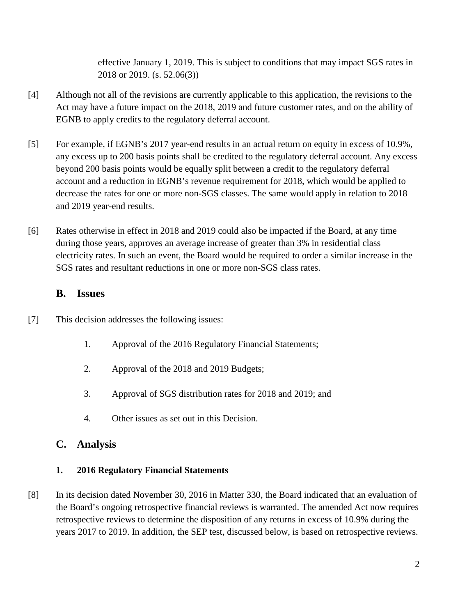effective January 1, 2019. This is subject to conditions that may impact SGS rates in 2018 or 2019. (s. 52.06(3))

- [4] Although not all of the revisions are currently applicable to this application, the revisions to the Act may have a future impact on the 2018, 2019 and future customer rates, and on the ability of EGNB to apply credits to the regulatory deferral account.
- [5] For example, if EGNB's 2017 year-end results in an actual return on equity in excess of 10.9%, any excess up to 200 basis points shall be credited to the regulatory deferral account. Any excess beyond 200 basis points would be equally split between a credit to the regulatory deferral account and a reduction in EGNB's revenue requirement for 2018, which would be applied to decrease the rates for one or more non-SGS classes. The same would apply in relation to 2018 and 2019 year-end results.
- [6] Rates otherwise in effect in 2018 and 2019 could also be impacted if the Board, at any time during those years, approves an average increase of greater than 3% in residential class electricity rates. In such an event, the Board would be required to order a similar increase in the SGS rates and resultant reductions in one or more non-SGS class rates.

# **B. Issues**

- [7] This decision addresses the following issues:
	- 1. Approval of the 2016 Regulatory Financial Statements;
	- 2. Approval of the 2018 and 2019 Budgets;
	- 3. Approval of SGS distribution rates for 2018 and 2019; and
	- 4. Other issues as set out in this Decision.

# **C. Analysis**

# **1. 2016 Regulatory Financial Statements**

[8] In its decision dated November 30, 2016 in Matter 330, the Board indicated that an evaluation of the Board's ongoing retrospective financial reviews is warranted. The amended Act now requires retrospective reviews to determine the disposition of any returns in excess of 10.9% during the years 2017 to 2019. In addition, the SEP test, discussed below, is based on retrospective reviews.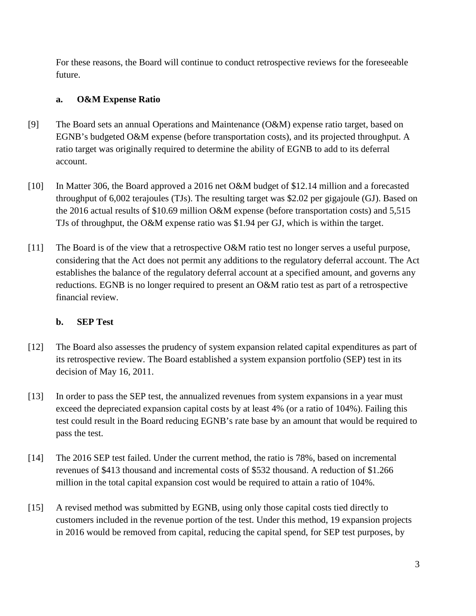For these reasons, the Board will continue to conduct retrospective reviews for the foreseeable future.

# **a. O&M Expense Ratio**

- [9] The Board sets an annual Operations and Maintenance (O&M) expense ratio target, based on EGNB's budgeted O&M expense (before transportation costs), and its projected throughput. A ratio target was originally required to determine the ability of EGNB to add to its deferral account.
- [10] In Matter 306, the Board approved a 2016 net O&M budget of \$12.14 million and a forecasted throughput of 6,002 terajoules (TJs). The resulting target was \$2.02 per gigajoule (GJ). Based on the 2016 actual results of \$10.69 million O&M expense (before transportation costs) and 5,515 TJs of throughput, the O&M expense ratio was \$1.94 per GJ, which is within the target.
- [11] The Board is of the view that a retrospective O&M ratio test no longer serves a useful purpose, considering that the Act does not permit any additions to the regulatory deferral account. The Act establishes the balance of the regulatory deferral account at a specified amount, and governs any reductions. EGNB is no longer required to present an O&M ratio test as part of a retrospective financial review.

## **b. SEP Test**

- [12] The Board also assesses the prudency of system expansion related capital expenditures as part of its retrospective review. The Board established a system expansion portfolio (SEP) test in its decision of May 16, 2011.
- [13] In order to pass the SEP test, the annualized revenues from system expansions in a year must exceed the depreciated expansion capital costs by at least 4% (or a ratio of 104%). Failing this test could result in the Board reducing EGNB's rate base by an amount that would be required to pass the test.
- [14] The 2016 SEP test failed. Under the current method, the ratio is 78%, based on incremental revenues of \$413 thousand and incremental costs of \$532 thousand. A reduction of \$1.266 million in the total capital expansion cost would be required to attain a ratio of 104%.
- [15] A revised method was submitted by EGNB, using only those capital costs tied directly to customers included in the revenue portion of the test. Under this method, 19 expansion projects in 2016 would be removed from capital, reducing the capital spend, for SEP test purposes, by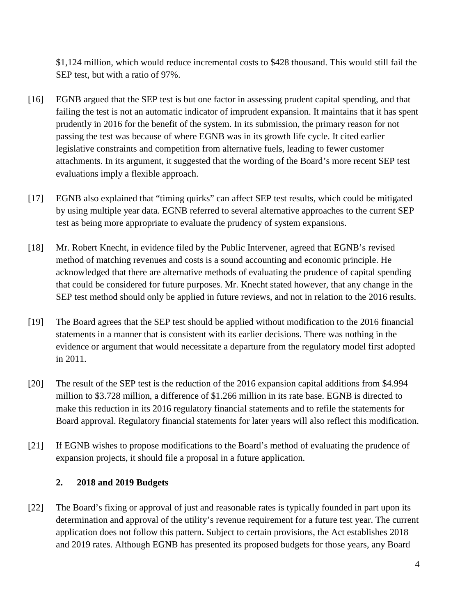\$1,124 million, which would reduce incremental costs to \$428 thousand. This would still fail the SEP test, but with a ratio of 97%.

- [16] EGNB argued that the SEP test is but one factor in assessing prudent capital spending, and that failing the test is not an automatic indicator of imprudent expansion. It maintains that it has spent prudently in 2016 for the benefit of the system. In its submission, the primary reason for not passing the test was because of where EGNB was in its growth life cycle. It cited earlier legislative constraints and competition from alternative fuels, leading to fewer customer attachments. In its argument, it suggested that the wording of the Board's more recent SEP test evaluations imply a flexible approach.
- [17] EGNB also explained that "timing quirks" can affect SEP test results, which could be mitigated by using multiple year data. EGNB referred to several alternative approaches to the current SEP test as being more appropriate to evaluate the prudency of system expansions.
- [18] Mr. Robert Knecht, in evidence filed by the Public Intervener, agreed that EGNB's revised method of matching revenues and costs is a sound accounting and economic principle. He acknowledged that there are alternative methods of evaluating the prudence of capital spending that could be considered for future purposes. Mr. Knecht stated however, that any change in the SEP test method should only be applied in future reviews, and not in relation to the 2016 results.
- [19] The Board agrees that the SEP test should be applied without modification to the 2016 financial statements in a manner that is consistent with its earlier decisions. There was nothing in the evidence or argument that would necessitate a departure from the regulatory model first adopted in 2011.
- [20] The result of the SEP test is the reduction of the 2016 expansion capital additions from \$4.994 million to \$3.728 million, a difference of \$1.266 million in its rate base. EGNB is directed to make this reduction in its 2016 regulatory financial statements and to refile the statements for Board approval. Regulatory financial statements for later years will also reflect this modification.
- [21] If EGNB wishes to propose modifications to the Board's method of evaluating the prudence of expansion projects, it should file a proposal in a future application.

## **2. 2018 and 2019 Budgets**

[22] The Board's fixing or approval of just and reasonable rates is typically founded in part upon its determination and approval of the utility's revenue requirement for a future test year. The current application does not follow this pattern. Subject to certain provisions, the Act establishes 2018 and 2019 rates. Although EGNB has presented its proposed budgets for those years, any Board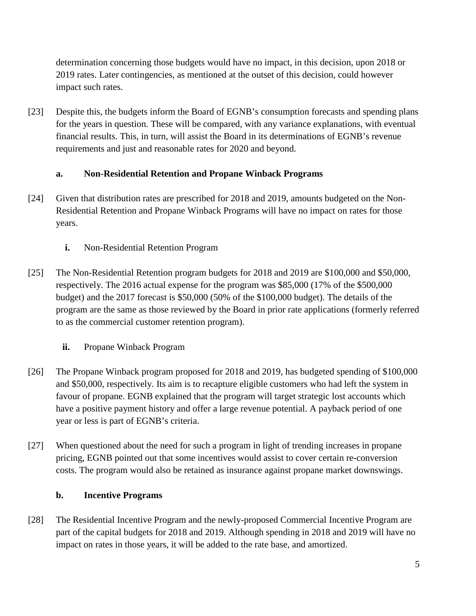determination concerning those budgets would have no impact, in this decision, upon 2018 or 2019 rates. Later contingencies, as mentioned at the outset of this decision, could however impact such rates.

[23] Despite this, the budgets inform the Board of EGNB's consumption forecasts and spending plans for the years in question. These will be compared, with any variance explanations, with eventual financial results. This, in turn, will assist the Board in its determinations of EGNB's revenue requirements and just and reasonable rates for 2020 and beyond.

# **a. Non-Residential Retention and Propane Winback Programs**

- [24] Given that distribution rates are prescribed for 2018 and 2019, amounts budgeted on the Non-Residential Retention and Propane Winback Programs will have no impact on rates for those years.
	- **i.** Non-Residential Retention Program
- [25] The Non-Residential Retention program budgets for 2018 and 2019 are \$100,000 and \$50,000, respectively. The 2016 actual expense for the program was \$85,000 (17% of the \$500,000 budget) and the 2017 forecast is \$50,000 (50% of the \$100,000 budget). The details of the program are the same as those reviewed by the Board in prior rate applications (formerly referred to as the commercial customer retention program).
	- **ii.** Propane Winback Program
- [26] The Propane Winback program proposed for 2018 and 2019, has budgeted spending of \$100,000 and \$50,000, respectively. Its aim is to recapture eligible customers who had left the system in favour of propane. EGNB explained that the program will target strategic lost accounts which have a positive payment history and offer a large revenue potential. A payback period of one year or less is part of EGNB's criteria.
- [27] When questioned about the need for such a program in light of trending increases in propane pricing, EGNB pointed out that some incentives would assist to cover certain re-conversion costs. The program would also be retained as insurance against propane market downswings.

## **b. Incentive Programs**

[28] The Residential Incentive Program and the newly-proposed Commercial Incentive Program are part of the capital budgets for 2018 and 2019. Although spending in 2018 and 2019 will have no impact on rates in those years, it will be added to the rate base, and amortized.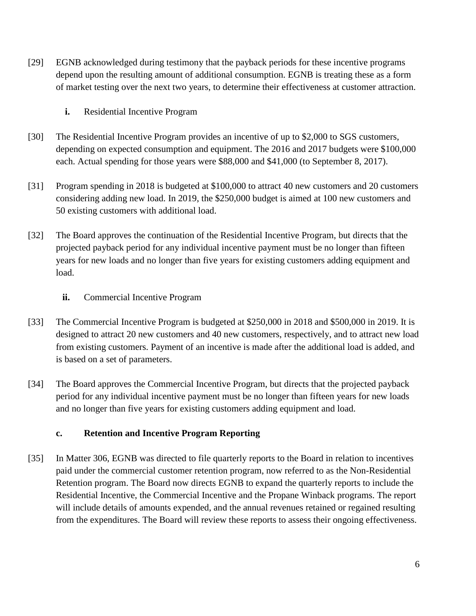- [29] EGNB acknowledged during testimony that the payback periods for these incentive programs depend upon the resulting amount of additional consumption. EGNB is treating these as a form of market testing over the next two years, to determine their effectiveness at customer attraction.
	- **i.** Residential Incentive Program
- [30] The Residential Incentive Program provides an incentive of up to \$2,000 to SGS customers, depending on expected consumption and equipment. The 2016 and 2017 budgets were \$100,000 each. Actual spending for those years were \$88,000 and \$41,000 (to September 8, 2017).
- [31] Program spending in 2018 is budgeted at \$100,000 to attract 40 new customers and 20 customers considering adding new load. In 2019, the \$250,000 budget is aimed at 100 new customers and 50 existing customers with additional load.
- [32] The Board approves the continuation of the Residential Incentive Program, but directs that the projected payback period for any individual incentive payment must be no longer than fifteen years for new loads and no longer than five years for existing customers adding equipment and load.
	- **ii.** Commercial Incentive Program
- [33] The Commercial Incentive Program is budgeted at \$250,000 in 2018 and \$500,000 in 2019. It is designed to attract 20 new customers and 40 new customers, respectively, and to attract new load from existing customers. Payment of an incentive is made after the additional load is added, and is based on a set of parameters.
- [34] The Board approves the Commercial Incentive Program, but directs that the projected payback period for any individual incentive payment must be no longer than fifteen years for new loads and no longer than five years for existing customers adding equipment and load.

#### **c. Retention and Incentive Program Reporting**

[35] In Matter 306, EGNB was directed to file quarterly reports to the Board in relation to incentives paid under the commercial customer retention program, now referred to as the Non-Residential Retention program. The Board now directs EGNB to expand the quarterly reports to include the Residential Incentive, the Commercial Incentive and the Propane Winback programs. The report will include details of amounts expended, and the annual revenues retained or regained resulting from the expenditures. The Board will review these reports to assess their ongoing effectiveness.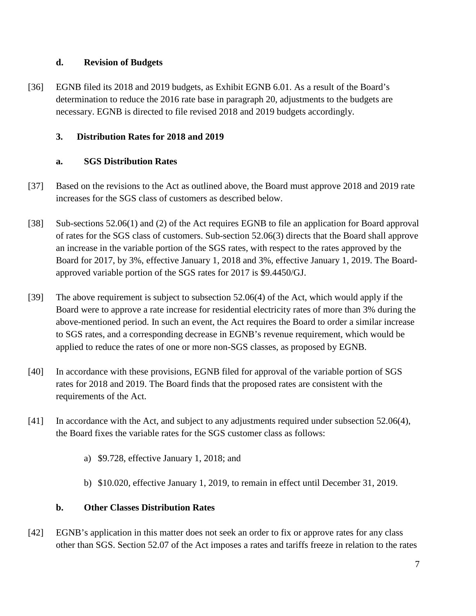## **d. Revision of Budgets**

[36] EGNB filed its 2018 and 2019 budgets, as Exhibit EGNB 6.01. As a result of the Board's determination to reduce the 2016 rate base in paragraph 20, adjustments to the budgets are necessary. EGNB is directed to file revised 2018 and 2019 budgets accordingly.

# **3. Distribution Rates for 2018 and 2019**

# **a. SGS Distribution Rates**

- [37] Based on the revisions to the Act as outlined above, the Board must approve 2018 and 2019 rate increases for the SGS class of customers as described below.
- [38] Sub-sections 52.06(1) and (2) of the Act requires EGNB to file an application for Board approval of rates for the SGS class of customers. Sub-section 52.06(3) directs that the Board shall approve an increase in the variable portion of the SGS rates, with respect to the rates approved by the Board for 2017, by 3%, effective January 1, 2018 and 3%, effective January 1, 2019. The Boardapproved variable portion of the SGS rates for 2017 is \$9.4450/GJ.
- [39] The above requirement is subject to subsection 52.06(4) of the Act, which would apply if the Board were to approve a rate increase for residential electricity rates of more than 3% during the above-mentioned period. In such an event, the Act requires the Board to order a similar increase to SGS rates, and a corresponding decrease in EGNB's revenue requirement, which would be applied to reduce the rates of one or more non-SGS classes, as proposed by EGNB.
- [40] In accordance with these provisions, EGNB filed for approval of the variable portion of SGS rates for 2018 and 2019. The Board finds that the proposed rates are consistent with the requirements of the Act.
- [41] In accordance with the Act, and subject to any adjustments required under subsection 52.06(4), the Board fixes the variable rates for the SGS customer class as follows:
	- a) \$9.728, effective January 1, 2018; and
	- b) \$10.020, effective January 1, 2019, to remain in effect until December 31, 2019.

## **b. Other Classes Distribution Rates**

[42] EGNB's application in this matter does not seek an order to fix or approve rates for any class other than SGS. Section 52.07 of the Act imposes a rates and tariffs freeze in relation to the rates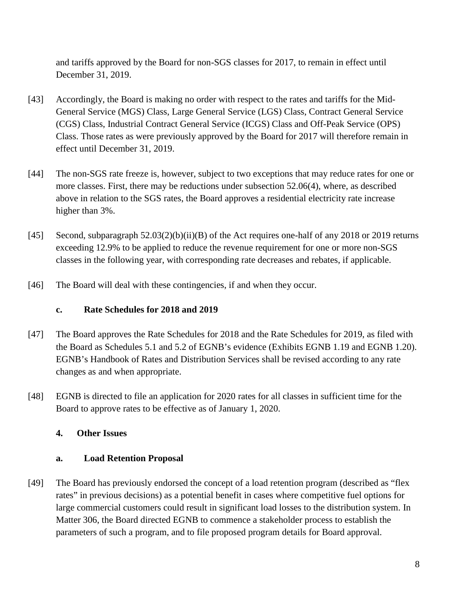and tariffs approved by the Board for non-SGS classes for 2017, to remain in effect until December 31, 2019.

- [43] Accordingly, the Board is making no order with respect to the rates and tariffs for the Mid-General Service (MGS) Class, Large General Service (LGS) Class, Contract General Service (CGS) Class, Industrial Contract General Service (ICGS) Class and Off-Peak Service (OPS) Class. Those rates as were previously approved by the Board for 2017 will therefore remain in effect until December 31, 2019.
- [44] The non-SGS rate freeze is, however, subject to two exceptions that may reduce rates for one or more classes. First, there may be reductions under subsection 52.06(4), where, as described above in relation to the SGS rates, the Board approves a residential electricity rate increase higher than 3%.
- [45] Second, subparagraph 52.03(2)(b)(ii)(B) of the Act requires one-half of any 2018 or 2019 returns exceeding 12.9% to be applied to reduce the revenue requirement for one or more non-SGS classes in the following year, with corresponding rate decreases and rebates, if applicable.
- [46] The Board will deal with these contingencies, if and when they occur.

# **c. Rate Schedules for 2018 and 2019**

- [47] The Board approves the Rate Schedules for 2018 and the Rate Schedules for 2019, as filed with the Board as Schedules 5.1 and 5.2 of EGNB's evidence (Exhibits EGNB 1.19 and EGNB 1.20). EGNB's Handbook of Rates and Distribution Services shall be revised according to any rate changes as and when appropriate.
- [48] EGNB is directed to file an application for 2020 rates for all classes in sufficient time for the Board to approve rates to be effective as of January 1, 2020.

# **4. Other Issues**

## **a. Load Retention Proposal**

[49] The Board has previously endorsed the concept of a load retention program (described as "flex rates" in previous decisions) as a potential benefit in cases where competitive fuel options for large commercial customers could result in significant load losses to the distribution system. In Matter 306, the Board directed EGNB to commence a stakeholder process to establish the parameters of such a program, and to file proposed program details for Board approval.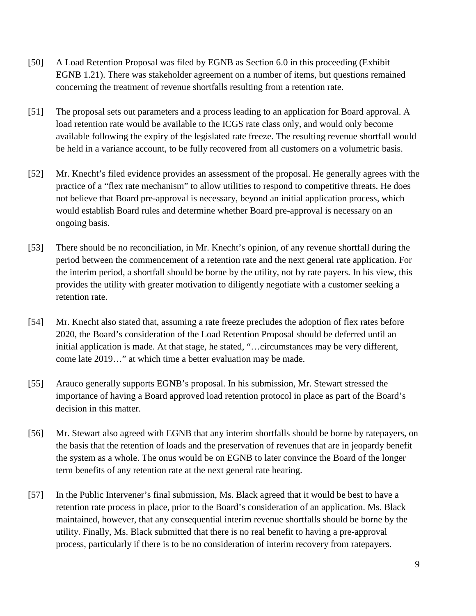- [50] A Load Retention Proposal was filed by EGNB as Section 6.0 in this proceeding (Exhibit EGNB 1.21). There was stakeholder agreement on a number of items, but questions remained concerning the treatment of revenue shortfalls resulting from a retention rate.
- [51] The proposal sets out parameters and a process leading to an application for Board approval. A load retention rate would be available to the ICGS rate class only, and would only become available following the expiry of the legislated rate freeze. The resulting revenue shortfall would be held in a variance account, to be fully recovered from all customers on a volumetric basis.
- [52] Mr. Knecht's filed evidence provides an assessment of the proposal. He generally agrees with the practice of a "flex rate mechanism" to allow utilities to respond to competitive threats. He does not believe that Board pre-approval is necessary, beyond an initial application process, which would establish Board rules and determine whether Board pre-approval is necessary on an ongoing basis.
- [53] There should be no reconciliation, in Mr. Knecht's opinion, of any revenue shortfall during the period between the commencement of a retention rate and the next general rate application. For the interim period, a shortfall should be borne by the utility, not by rate payers. In his view, this provides the utility with greater motivation to diligently negotiate with a customer seeking a retention rate.
- [54] Mr. Knecht also stated that, assuming a rate freeze precludes the adoption of flex rates before 2020, the Board's consideration of the Load Retention Proposal should be deferred until an initial application is made. At that stage, he stated, "…circumstances may be very different, come late 2019…" at which time a better evaluation may be made.
- [55] Arauco generally supports EGNB's proposal. In his submission, Mr. Stewart stressed the importance of having a Board approved load retention protocol in place as part of the Board's decision in this matter.
- [56] Mr. Stewart also agreed with EGNB that any interim shortfalls should be borne by ratepayers, on the basis that the retention of loads and the preservation of revenues that are in jeopardy benefit the system as a whole. The onus would be on EGNB to later convince the Board of the longer term benefits of any retention rate at the next general rate hearing.
- [57] In the Public Intervener's final submission, Ms. Black agreed that it would be best to have a retention rate process in place, prior to the Board's consideration of an application. Ms. Black maintained, however, that any consequential interim revenue shortfalls should be borne by the utility. Finally, Ms. Black submitted that there is no real benefit to having a pre-approval process, particularly if there is to be no consideration of interim recovery from ratepayers.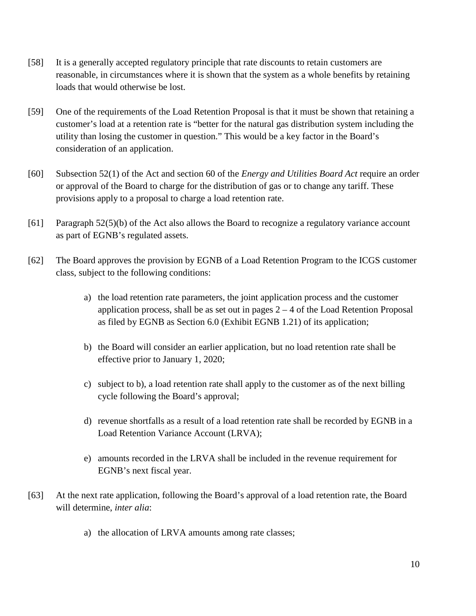- [58] It is a generally accepted regulatory principle that rate discounts to retain customers are reasonable, in circumstances where it is shown that the system as a whole benefits by retaining loads that would otherwise be lost.
- [59] One of the requirements of the Load Retention Proposal is that it must be shown that retaining a customer's load at a retention rate is "better for the natural gas distribution system including the utility than losing the customer in question." This would be a key factor in the Board's consideration of an application.
- [60] Subsection 52(1) of the Act and section 60 of the *Energy and Utilities Board Act* require an order or approval of the Board to charge for the distribution of gas or to change any tariff. These provisions apply to a proposal to charge a load retention rate.
- [61] Paragraph 52(5)(b) of the Act also allows the Board to recognize a regulatory variance account as part of EGNB's regulated assets.
- [62] The Board approves the provision by EGNB of a Load Retention Program to the ICGS customer class, subject to the following conditions:
	- a) the load retention rate parameters, the joint application process and the customer application process, shall be as set out in pages  $2 - 4$  of the Load Retention Proposal as filed by EGNB as Section 6.0 (Exhibit EGNB 1.21) of its application;
	- b) the Board will consider an earlier application, but no load retention rate shall be effective prior to January 1, 2020;
	- c) subject to b), a load retention rate shall apply to the customer as of the next billing cycle following the Board's approval;
	- d) revenue shortfalls as a result of a load retention rate shall be recorded by EGNB in a Load Retention Variance Account (LRVA);
	- e) amounts recorded in the LRVA shall be included in the revenue requirement for EGNB's next fiscal year.
- [63] At the next rate application, following the Board's approval of a load retention rate, the Board will determine, *inter alia*:
	- a) the allocation of LRVA amounts among rate classes;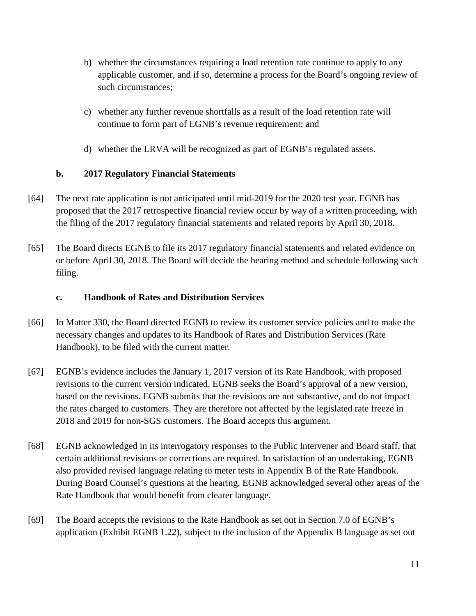- b) whether the circumstances requiring a load retention rate continue to apply to any applicable customer, and if so, determine a process for the Board's ongoing review of such circumstances;
- c) whether any further revenue shortfalls as a result of the load retention rate will continue to form part of EGNB's revenue requirement; and
- d) whether the LRVA will be recognized as part of EGNB's regulated assets.

# **b. 2017 Regulatory Financial Statements**

- [64] The next rate application is not anticipated until mid-2019 for the 2020 test year. EGNB has proposed that the 2017 retrospective financial review occur by way of a written proceeding, with the filing of the 2017 regulatory financial statements and related reports by April 30, 2018.
- [65] The Board directs EGNB to file its 2017 regulatory financial statements and related evidence on or before April 30, 2018. The Board will decide the hearing method and schedule following such filing.

## **c. Handbook of Rates and Distribution Services**

- [66] In Matter 330, the Board directed EGNB to review its customer service policies and to make the necessary changes and updates to its Handbook of Rates and Distribution Services (Rate Handbook), to be filed with the current matter.
- [67] EGNB's evidence includes the January 1, 2017 version of its Rate Handbook, with proposed revisions to the current version indicated. EGNB seeks the Board's approval of a new version, based on the revisions. EGNB submits that the revisions are not substantive, and do not impact the rates charged to customers. They are therefore not affected by the legislated rate freeze in 2018 and 2019 for non-SGS customers. The Board accepts this argument.
- [68] EGNB acknowledged in its interrogatory responses to the Public Intervener and Board staff, that certain additional revisions or corrections are required. In satisfaction of an undertaking, EGNB also provided revised language relating to meter tests in Appendix B of the Rate Handbook. During Board Counsel's questions at the hearing, EGNB acknowledged several other areas of the Rate Handbook that would benefit from clearer language.
- [69] The Board accepts the revisions to the Rate Handbook as set out in Section 7.0 of EGNB's application (Exhibit EGNB 1.22), subject to the inclusion of the Appendix B language as set out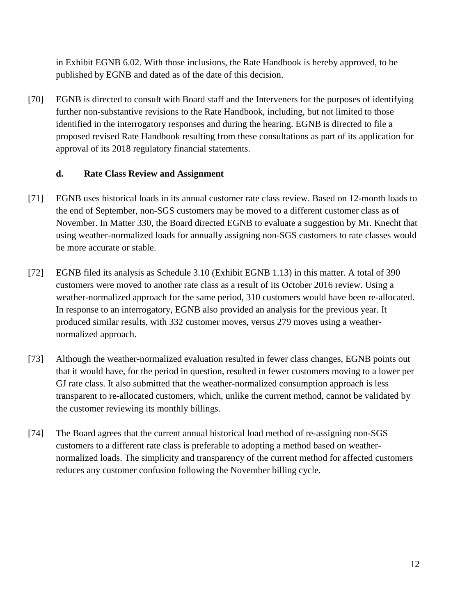in Exhibit EGNB 6.02. With those inclusions, the Rate Handbook is hereby approved, to be published by EGNB and dated as of the date of this decision.

[70] EGNB is directed to consult with Board staff and the Interveners for the purposes of identifying further non-substantive revisions to the Rate Handbook, including, but not limited to those identified in the interrogatory responses and during the hearing. EGNB is directed to file a proposed revised Rate Handbook resulting from these consultations as part of its application for approval of its 2018 regulatory financial statements.

## **d. Rate Class Review and Assignment**

- [71] EGNB uses historical loads in its annual customer rate class review. Based on 12-month loads to the end of September, non-SGS customers may be moved to a different customer class as of November. In Matter 330, the Board directed EGNB to evaluate a suggestion by Mr. Knecht that using weather-normalized loads for annually assigning non-SGS customers to rate classes would be more accurate or stable.
- [72] EGNB filed its analysis as Schedule 3.10 (Exhibit EGNB 1.13) in this matter. A total of 390 customers were moved to another rate class as a result of its October 2016 review. Using a weather-normalized approach for the same period, 310 customers would have been re-allocated. In response to an interrogatory, EGNB also provided an analysis for the previous year. It produced similar results, with 332 customer moves, versus 279 moves using a weathernormalized approach.
- [73] Although the weather-normalized evaluation resulted in fewer class changes, EGNB points out that it would have, for the period in question, resulted in fewer customers moving to a lower per GJ rate class. It also submitted that the weather-normalized consumption approach is less transparent to re-allocated customers, which, unlike the current method, cannot be validated by the customer reviewing its monthly billings.
- [74] The Board agrees that the current annual historical load method of re-assigning non-SGS customers to a different rate class is preferable to adopting a method based on weathernormalized loads. The simplicity and transparency of the current method for affected customers reduces any customer confusion following the November billing cycle.